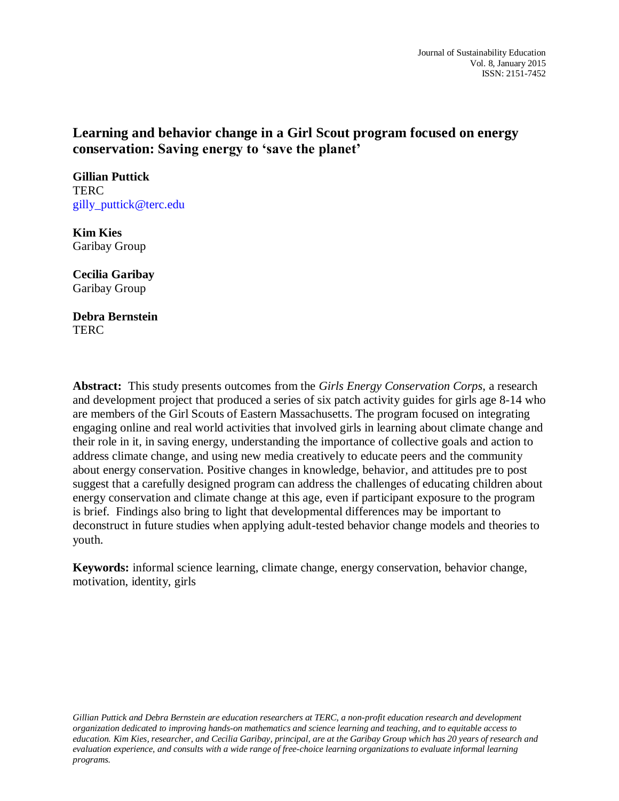# **Learning and behavior change in a Girl Scout program focused on energy conservation: Saving energy to 'save the planet'**

**Gillian Puttick** TERC [gilly\\_puttick@terc.edu](mailto:gilly_puttick@terc.edu)

**Kim Kies** Garibay Group

**Cecilia Garibay** Garibay Group

**Debra Bernstein TERC** 

**Abstract:** This study presents outcomes from the *Girls Energy Conservation Corps*, a research and development project that produced a series of six patch activity guides for girls age 8-14 who are members of the Girl Scouts of Eastern Massachusetts. The program focused on integrating engaging online and real world activities that involved girls in learning about climate change and their role in it, in saving energy, understanding the importance of collective goals and action to address climate change, and using new media creatively to educate peers and the community about energy conservation. Positive changes in knowledge, behavior, and attitudes pre to post suggest that a carefully designed program can address the challenges of educating children about energy conservation and climate change at this age, even if participant exposure to the program is brief. Findings also bring to light that developmental differences may be important to deconstruct in future studies when applying adult-tested behavior change models and theories to youth.

**Keywords:** informal science learning, climate change, energy conservation, behavior change, motivation, identity, girls

*Gillian Puttick and Debra Bernstein are education researchers at TERC, a non-profit education research and development organization dedicated to improving hands-on mathematics and science learning and teaching, and to equitable access to education. Kim Kies, researcher, and Cecilia Garibay, principal, are at the Garibay Group which has 20 years of research and evaluation experience, and consults with a wide range of free-choice learning organizations to evaluate informal learning programs.*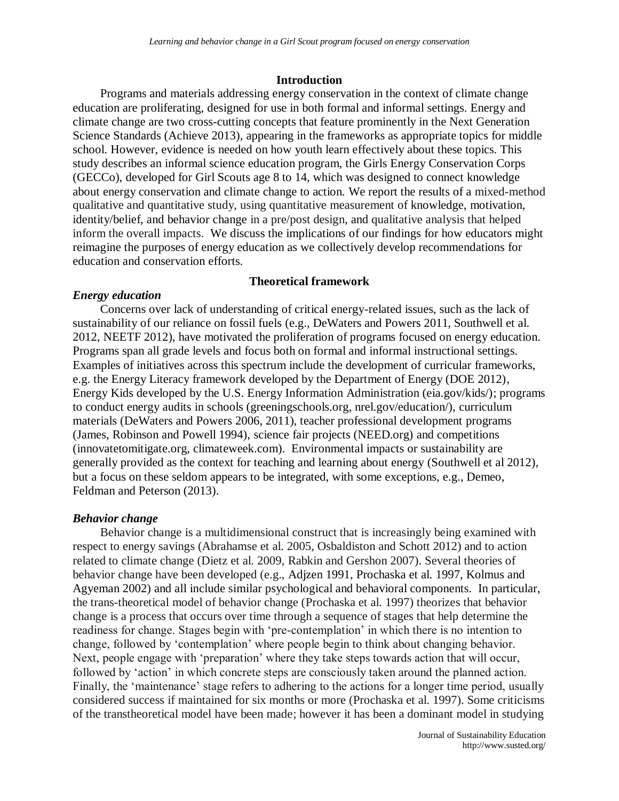#### **Introduction**

Programs and materials addressing energy conservation in the context of climate change education are proliferating, designed for use in both formal and informal settings. Energy and climate change are two cross-cutting concepts that feature prominently in the Next Generation Science Standards (Achieve 2013), appearing in the frameworks as appropriate topics for middle school. However, evidence is needed on how youth learn effectively about these topics. This study describes an informal science education program, the Girls Energy Conservation Corps (GECCo), developed for Girl Scouts age 8 to 14, which was designed to connect knowledge about energy conservation and climate change to action. We report the results of a mixed-method qualitative and quantitative study, using quantitative measurement of knowledge, motivation, identity/belief, and behavior change in a pre/post design, and qualitative analysis that helped inform the overall impacts. We discuss the implications of our findings for how educators might reimagine the purposes of energy education as we collectively develop recommendations for education and conservation efforts.

#### **Theoretical framework**

#### *Energy education*

Concerns over lack of understanding of critical energy-related issues, such as the lack of sustainability of our reliance on fossil fuels (e.g., DeWaters and Powers 2011, Southwell et al. 2012, NEETF 2012), have motivated the proliferation of programs focused on energy education. Programs span all grade levels and focus both on formal and informal instructional settings. Examples of initiatives across this spectrum include the development of curricular frameworks, e.g. the Energy Literacy framework developed by the Department of Energy (DOE 2012), Energy Kids developed by the U.S. Energy Information Administration (eia.gov/kids/); programs to conduct energy audits in schools (greeningschools.org, nrel.gov/education/), curriculum materials (DeWaters and Powers 2006, 2011), teacher professional development programs (James, Robinson and Powell 1994), science fair projects (NEED.org) and competitions (innovatetomitigate.org, climateweek.com). Environmental impacts or sustainability are generally provided as the context for teaching and learning about energy (Southwell et al 2012), but a focus on these seldom appears to be integrated, with some exceptions, e.g., Demeo, Feldman and Peterson (2013).

#### *Behavior change*

Behavior change is a multidimensional construct that is increasingly being examined with respect to energy savings (Abrahamse et al. 2005, Osbaldiston and Schott 2012) and to action related to climate change (Dietz et al. 2009, Rabkin and Gershon 2007). Several theories of behavior change have been developed (e.g., Adjzen 1991, Prochaska et al. 1997, Kolmus and Agyeman 2002) and all include similar psychological and behavioral components. In particular, the trans-theoretical model of behavior change (Prochaska et al. 1997) theorizes that behavior change is a process that occurs over time through a sequence of stages that help determine the readiness for change. Stages begin with 'pre-contemplation' in which there is no intention to change, followed by 'contemplation' where people begin to think about changing behavior. Next, people engage with 'preparation' where they take steps towards action that will occur, followed by 'action' in which concrete steps are consciously taken around the planned action. Finally, the 'maintenance' stage refers to adhering to the actions for a longer time period, usually considered success if maintained for six months or more (Prochaska et al. 1997). Some criticisms of the transtheoretical model have been made; however it has been a dominant model in studying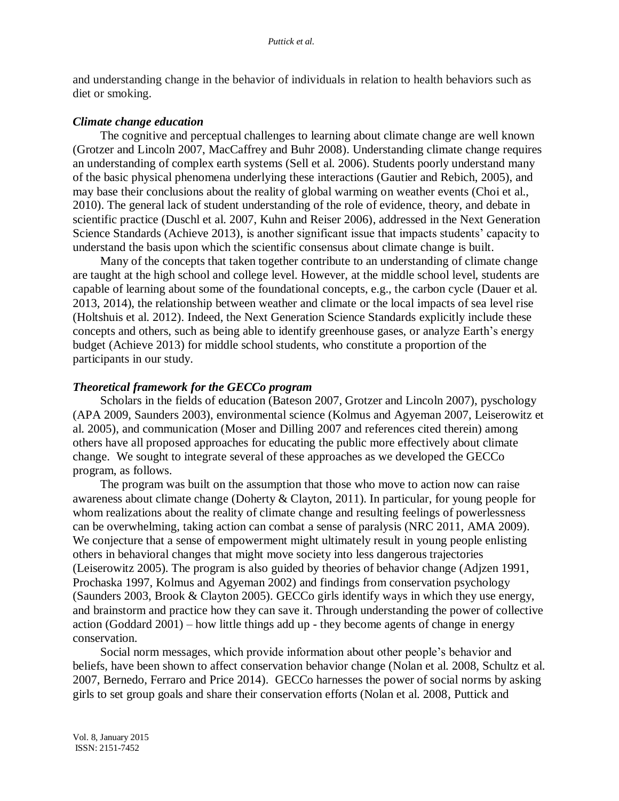and understanding change in the behavior of individuals in relation to health behaviors such as diet or smoking.

#### *Climate change education*

The cognitive and perceptual challenges to learning about climate change are well known (Grotzer and Lincoln 2007, MacCaffrey and Buhr 2008). Understanding climate change requires an understanding of complex earth systems (Sell et al. 2006). Students poorly understand many of the basic physical phenomena underlying these interactions (Gautier and Rebich, 2005), and may base their conclusions about the reality of global warming on weather events (Choi et al., 2010). The general lack of student understanding of the role of evidence, theory, and debate in scientific practice (Duschl et al. 2007, Kuhn and Reiser 2006), addressed in the Next Generation Science Standards (Achieve 2013), is another significant issue that impacts students' capacity to understand the basis upon which the scientific consensus about climate change is built.

Many of the concepts that taken together contribute to an understanding of climate change are taught at the high school and college level. However, at the middle school level, students are capable of learning about some of the foundational concepts, e.g., the carbon cycle (Dauer et al. 2013, 2014), the relationship between weather and climate or the local impacts of sea level rise (Holtshuis et al. 2012). Indeed, the Next Generation Science Standards explicitly include these concepts and others, such as being able to identify greenhouse gases, or analyze Earth's energy budget (Achieve 2013) for middle school students, who constitute a proportion of the participants in our study.

#### *Theoretical framework for the GECCo program*

Scholars in the fields of education (Bateson 2007, Grotzer and Lincoln 2007), pyschology (APA 2009, Saunders 2003), environmental science (Kolmus and Agyeman 2007, Leiserowitz et al. 2005), and communication (Moser and Dilling 2007 and references cited therein) among others have all proposed approaches for educating the public more effectively about climate change. We sought to integrate several of these approaches as we developed the GECCo program, as follows.

The program was built on the assumption that those who move to action now can raise awareness about climate change (Doherty & Clayton, 2011). In particular, for young people for whom realizations about the reality of climate change and resulting feelings of powerlessness can be overwhelming, taking action can combat a sense of paralysis (NRC 2011, AMA 2009). We conjecture that a sense of empowerment might ultimately result in young people enlisting others in behavioral changes that might move society into less dangerous trajectories (Leiserowitz 2005). The program is also guided by theories of behavior change (Adjzen 1991, Prochaska 1997, Kolmus and Agyeman 2002) and findings from conservation psychology (Saunders 2003, Brook & Clayton 2005). GECCo girls identify ways in which they use energy, and brainstorm and practice how they can save it. Through understanding the power of collective action (Goddard 2001) – how little things add up - they become agents of change in energy conservation.

Social norm messages, which provide information about other people's behavior and beliefs, have been shown to affect conservation behavior change (Nolan et al. 2008, Schultz et al. 2007, Bernedo, Ferraro and Price 2014). GECCo harnesses the power of social norms by asking girls to set group goals and share their conservation efforts (Nolan et al. 2008, Puttick and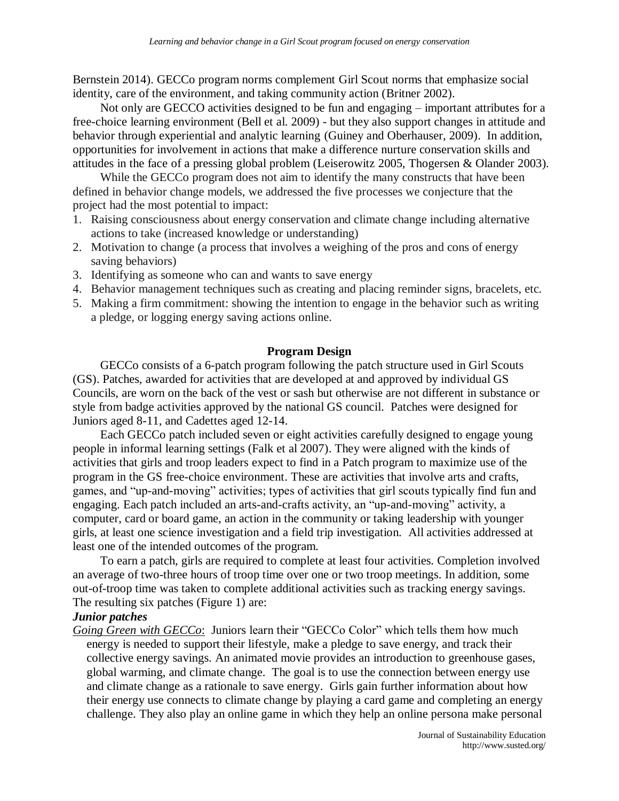Bernstein 2014). GECCo program norms complement Girl Scout norms that emphasize social identity, care of the environment, and taking community action (Britner 2002).

Not only are GECCO activities designed to be fun and engaging – important attributes for a free-choice learning environment (Bell et al. 2009) - but they also support changes in attitude and behavior through experiential and analytic learning (Guiney and Oberhauser, 2009). In addition, opportunities for involvement in actions that make a difference nurture conservation skills and attitudes in the face of a pressing global problem (Leiserowitz 2005, Thogersen & Olander 2003).

While the GECCo program does not aim to identify the many constructs that have been defined in behavior change models, we addressed the five processes we conjecture that the project had the most potential to impact:

- 1. Raising consciousness about energy conservation and climate change including alternative actions to take (increased knowledge or understanding)
- 2. Motivation to change (a process that involves a weighing of the pros and cons of energy saving behaviors)
- 3. Identifying as someone who can and wants to save energy
- 4. Behavior management techniques such as creating and placing reminder signs, bracelets, etc.
- 5. Making a firm commitment: showing the intention to engage in the behavior such as writing a pledge, or logging energy saving actions online.

### **Program Design**

GECCo consists of a 6-patch program following the patch structure used in Girl Scouts (GS). Patches, awarded for activities that are developed at and approved by individual GS Councils, are worn on the back of the vest or sash but otherwise are not different in substance or style from badge activities approved by the national GS council. Patches were designed for Juniors aged 8-11, and Cadettes aged 12-14.

Each GECCo patch included seven or eight activities carefully designed to engage young people in informal learning settings (Falk et al 2007). They were aligned with the kinds of activities that girls and troop leaders expect to find in a Patch program to maximize use of the program in the GS free-choice environment. These are activities that involve arts and crafts, games, and "up-and-moving" activities; types of activities that girl scouts typically find fun and engaging. Each patch included an arts-and-crafts activity, an "up-and-moving" activity, a computer, card or board game, an action in the community or taking leadership with younger girls, at least one science investigation and a field trip investigation. All activities addressed at least one of the intended outcomes of the program.

To earn a patch, girls are required to complete at least four activities. Completion involved an average of two-three hours of troop time over one or two troop meetings. In addition, some out-of-troop time was taken to complete additional activities such as tracking energy savings. The resulting six patches (Figure 1) are:

### *Junior patches*

*Going Green with GECCo*:Juniors learn their "GECCo Color" which tells them how much energy is needed to support their lifestyle, make a pledge to save energy, and track their collective energy savings. An animated movie provides an introduction to greenhouse gases, global warming, and climate change. The goal is to use the connection between energy use and climate change as a rationale to save energy. Girls gain further information about how their energy use connects to climate change by playing a card game and completing an energy challenge. They also play an online game in which they help an online persona make personal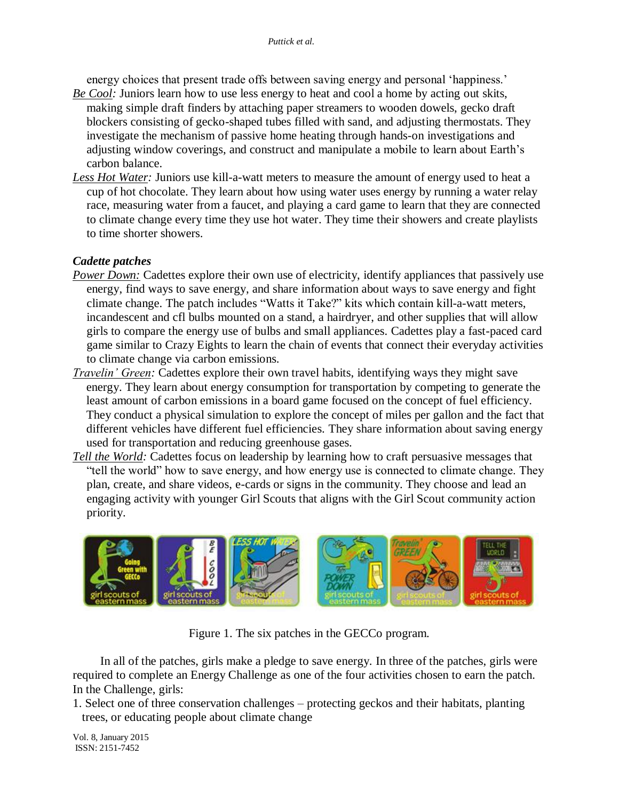energy choices that present trade offs between saving energy and personal 'happiness.'

- *Be Cool:* Juniors learn how to use less energy to heat and cool a home by acting out skits, making simple draft finders by attaching paper streamers to wooden dowels, gecko draft blockers consisting of gecko-shaped tubes filled with sand, and adjusting thermostats. They investigate the mechanism of passive home heating through hands-on investigations and adjusting window coverings, and construct and manipulate a mobile to learn about Earth's carbon balance.
- *Less Hot Water:* Juniors use kill-a-watt meters to measure the amount of energy used to heat a cup of hot chocolate. They learn about how using water uses energy by running a water relay race, measuring water from a faucet, and playing a card game to learn that they are connected to climate change every time they use hot water. They time their showers and create playlists to time shorter showers.

## *Cadette patches*

- *Power Down:* Cadettes explore their own use of electricity, identify appliances that passively use energy, find ways to save energy, and share information about ways to save energy and fight climate change. The patch includes "Watts it Take?" kits which contain kill-a-watt meters, incandescent and cfl bulbs mounted on a stand, a hairdryer, and other supplies that will allow girls to compare the energy use of bulbs and small appliances. Cadettes play a fast-paced card game similar to Crazy Eights to learn the chain of events that connect their everyday activities to climate change via carbon emissions.
- *Travelin' Green:* Cadettes explore their own travel habits, identifying ways they might save energy. They learn about energy consumption for transportation by competing to generate the least amount of carbon emissions in a board game focused on the concept of fuel efficiency. They conduct a physical simulation to explore the concept of miles per gallon and the fact that different vehicles have different fuel efficiencies. They share information about saving energy used for transportation and reducing greenhouse gases.
- *Tell the World:* Cadettes focus on leadership by learning how to craft persuasive messages that "tell the world" how to save energy, and how energy use is connected to climate change. They plan, create, and share videos, e-cards or signs in the community. They choose and lead an engaging activity with younger Girl Scouts that aligns with the Girl Scout community action priority.



Figure 1. The six patches in the GECCo program.

In all of the patches, girls make a pledge to save energy. In three of the patches, girls were required to complete an Energy Challenge as one of the four activities chosen to earn the patch. In the Challenge, girls:

1. Select one of three conservation challenges – protecting geckos and their habitats, planting trees, or educating people about climate change

Vol. 8, January 2015 ISSN: 2151-7452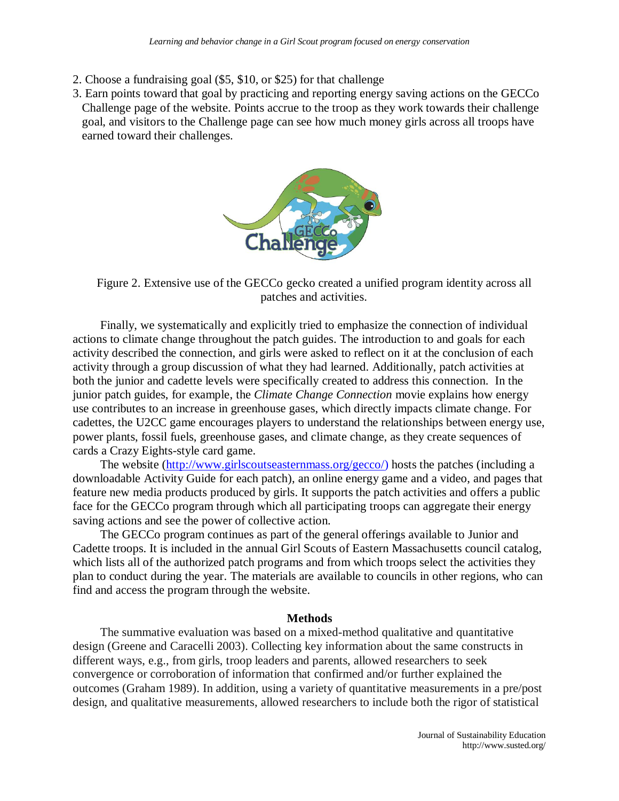- 2. Choose a fundraising goal (\$5, \$10, or \$25) for that challenge
- 3. Earn points toward that goal by practicing and reporting energy saving actions on the GECCo Challenge page of the website. Points accrue to the troop as they work towards their challenge goal, and visitors to the Challenge page can see how much money girls across all troops have earned toward their challenges.



Figure 2. Extensive use of the GECCo gecko created a unified program identity across all patches and activities.

Finally, we systematically and explicitly tried to emphasize the connection of individual actions to climate change throughout the patch guides. The introduction to and goals for each activity described the connection, and girls were asked to reflect on it at the conclusion of each activity through a group discussion of what they had learned. Additionally, patch activities at both the junior and cadette levels were specifically created to address this connection. In the junior patch guides, for example, the *Climate Change Connection* movie explains how energy use contributes to an increase in greenhouse gases, which directly impacts climate change. For cadettes, the U2CC game encourages players to understand the relationships between energy use, power plants, fossil fuels, greenhouse gases, and climate change, as they create sequences of cards a Crazy Eights-style card game.

The website [\(http://www.girlscoutseasternmass.org/gecco/\)](http://www.girlscoutseasternmass.org/gecco/) hosts the patches (including a downloadable Activity Guide for each patch), an online energy game and a video, and pages that feature new media products produced by girls. It supports the patch activities and offers a public face for the GECCo program through which all participating troops can aggregate their energy saving actions and see the power of collective action.

The GECCo program continues as part of the general offerings available to Junior and Cadette troops. It is included in the annual Girl Scouts of Eastern Massachusetts council catalog, which lists all of the authorized patch programs and from which troops select the activities they plan to conduct during the year. The materials are available to councils in other regions, who can find and access the program through the website.

#### **Methods**

The summative evaluation was based on a mixed-method qualitative and quantitative design (Greene and Caracelli 2003). Collecting key information about the same constructs in different ways, e.g., from girls, troop leaders and parents, allowed researchers to seek convergence or corroboration of information that confirmed and/or further explained the outcomes (Graham 1989). In addition, using a variety of quantitative measurements in a pre/post design, and qualitative measurements, allowed researchers to include both the rigor of statistical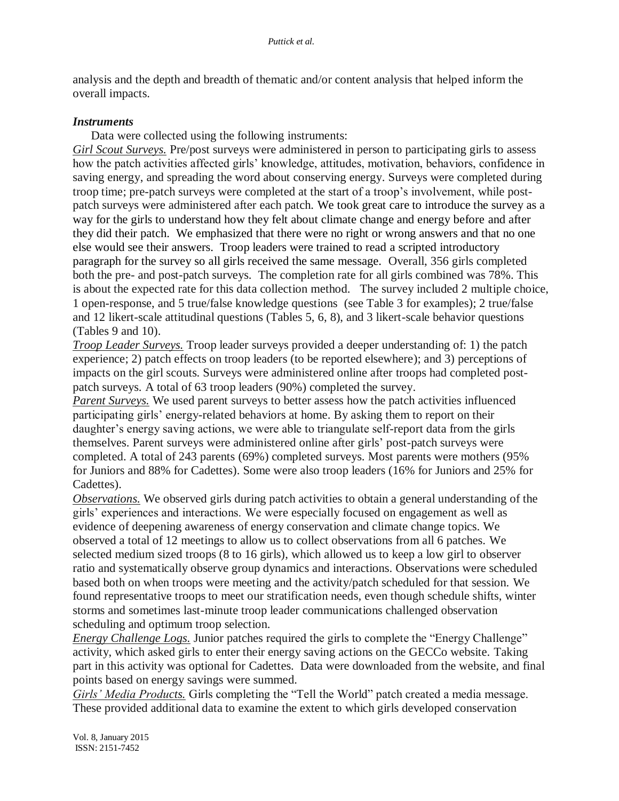analysis and the depth and breadth of thematic and/or content analysis that helped inform the overall impacts.

### *Instruments*

Data were collected using the following instruments:

*Girl Scout Surveys.* Pre/post surveys were administered in person to participating girls to assess how the patch activities affected girls' knowledge, attitudes, motivation, behaviors, confidence in saving energy, and spreading the word about conserving energy. Surveys were completed during troop time; pre-patch surveys were completed at the start of a troop's involvement, while postpatch surveys were administered after each patch. We took great care to introduce the survey as a way for the girls to understand how they felt about climate change and energy before and after they did their patch. We emphasized that there were no right or wrong answers and that no one else would see their answers. Troop leaders were trained to read a scripted introductory paragraph for the survey so all girls received the same message. Overall, 356 girls completed both the pre- and post-patch surveys. The completion rate for all girls combined was 78%. This is about the expected rate for this data collection method. The survey included 2 multiple choice, 1 open-response, and 5 true/false knowledge questions (see Table 3 for examples); 2 true/false and 12 likert-scale attitudinal questions (Tables 5, 6, 8), and 3 likert-scale behavior questions (Tables 9 and 10).

*Troop Leader Surveys.* Troop leader surveys provided a deeper understanding of: 1) the patch experience; 2) patch effects on troop leaders (to be reported elsewhere); and 3) perceptions of impacts on the girl scouts. Surveys were administered online after troops had completed postpatch surveys. A total of 63 troop leaders (90%) completed the survey.

*Parent Surveys.* We used parent surveys to better assess how the patch activities influenced participating girls' energy-related behaviors at home. By asking them to report on their daughter's energy saving actions, we were able to triangulate self-report data from the girls themselves. Parent surveys were administered online after girls' post-patch surveys were completed. A total of 243 parents (69%) completed surveys. Most parents were mothers (95% for Juniors and 88% for Cadettes). Some were also troop leaders (16% for Juniors and 25% for Cadettes).

*Observations.* We observed girls during patch activities to obtain a general understanding of the girls' experiences and interactions. We were especially focused on engagement as well as evidence of deepening awareness of energy conservation and climate change topics. We observed a total of 12 meetings to allow us to collect observations from all 6 patches. We selected medium sized troops (8 to 16 girls), which allowed us to keep a low girl to observer ratio and systematically observe group dynamics and interactions. Observations were scheduled based both on when troops were meeting and the activity/patch scheduled for that session. We found representative troops to meet our stratification needs, even though schedule shifts, winter storms and sometimes last-minute troop leader communications challenged observation scheduling and optimum troop selection.

*Energy Challenge Logs.* Junior patches required the girls to complete the "Energy Challenge" activity, which asked girls to enter their energy saving actions on the GECCo website. Taking part in this activity was optional for Cadettes. Data were downloaded from the website, and final points based on energy savings were summed.

*Girls' Media Products.* Girls completing the "Tell the World" patch created a media message. These provided additional data to examine the extent to which girls developed conservation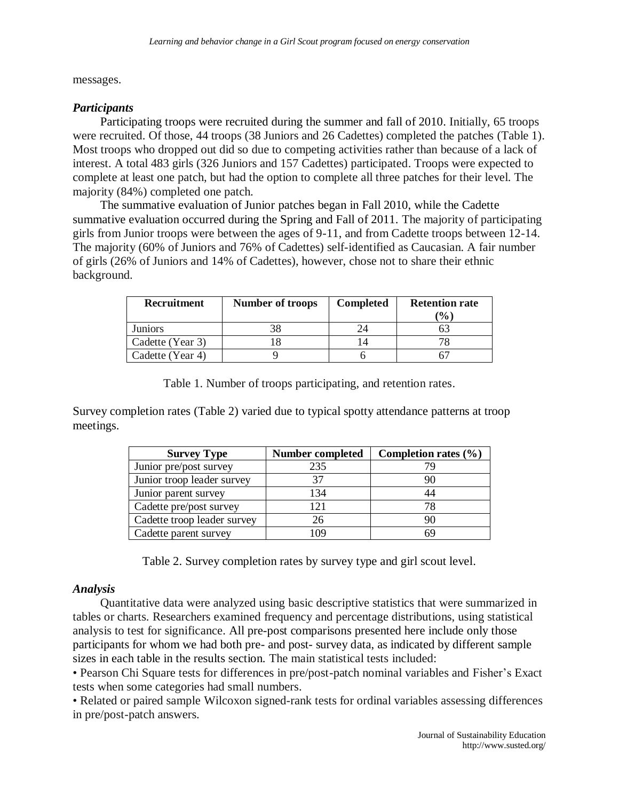messages.

### *Participants*

Participating troops were recruited during the summer and fall of 2010. Initially, 65 troops were recruited. Of those, 44 troops (38 Juniors and 26 Cadettes) completed the patches (Table 1). Most troops who dropped out did so due to competing activities rather than because of a lack of interest. A total 483 girls (326 Juniors and 157 Cadettes) participated. Troops were expected to complete at least one patch, but had the option to complete all three patches for their level. The majority (84%) completed one patch.

The summative evaluation of Junior patches began in Fall 2010, while the Cadette summative evaluation occurred during the Spring and Fall of 2011. The majority of participating girls from Junior troops were between the ages of 9-11, and from Cadette troops between 12-14. The majority (60% of Juniors and 76% of Cadettes) self-identified as Caucasian. A fair number of girls (26% of Juniors and 14% of Cadettes), however, chose not to share their ethnic background.

| <b>Recruitment</b> | <b>Number of troops</b> | <b>Completed</b> | <b>Retention rate</b> |
|--------------------|-------------------------|------------------|-----------------------|
|                    |                         |                  | $\binom{0}{0}$        |
| <b>Juniors</b>     |                         |                  |                       |
| Cadette (Year 3)   |                         |                  |                       |
| Cadette (Year 4)   |                         |                  |                       |

Table 1. Number of troops participating, and retention rates.

Survey completion rates (Table 2) varied due to typical spotty attendance patterns at troop meetings.

| <b>Survey Type</b>          | <b>Number completed</b> | Completion rates (%) |
|-----------------------------|-------------------------|----------------------|
| Junior pre/post survey      | 235                     |                      |
| Junior troop leader survey  | 37                      | 90                   |
| Junior parent survey        | 134                     | 44                   |
| Cadette pre/post survey     | 121                     | 78                   |
| Cadette troop leader survey | 26                      | 90                   |
| Cadette parent survey       | 109                     | 69                   |

Table 2. Survey completion rates by survey type and girl scout level.

### *Analysis*

Quantitative data were analyzed using basic descriptive statistics that were summarized in tables or charts. Researchers examined frequency and percentage distributions, using statistical analysis to test for significance. All pre-post comparisons presented here include only those participants for whom we had both pre- and post- survey data, as indicated by different sample sizes in each table in the results section. The main statistical tests included:

• Pearson Chi Square tests for differences in pre/post-patch nominal variables and Fisher's Exact tests when some categories had small numbers.

• Related or paired sample Wilcoxon signed-rank tests for ordinal variables assessing differences in pre/post-patch answers.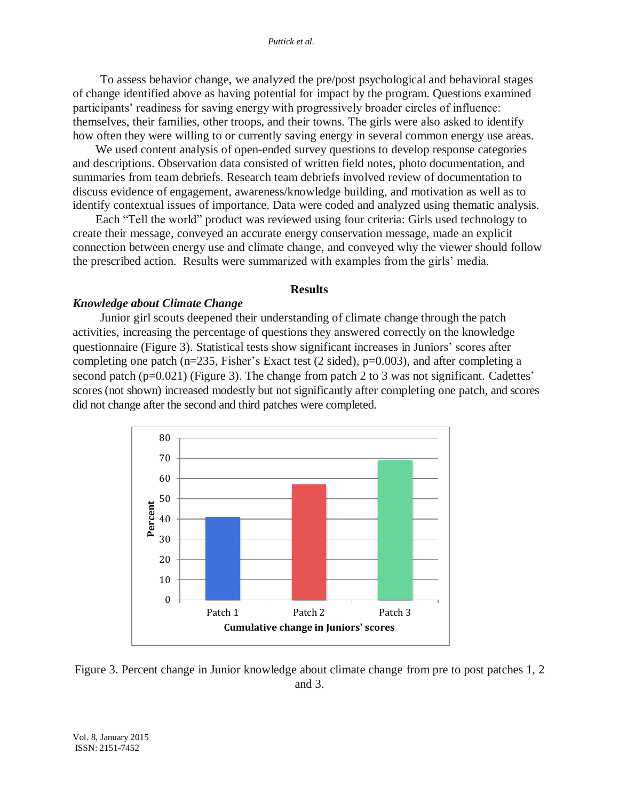To assess behavior change, we analyzed the pre/post psychological and behavioral stages of change identified above as having potential for impact by the program. Questions examined participants' readiness for saving energy with progressively broader circles of influence: themselves, their families, other troops, and their towns. The girls were also asked to identify how often they were willing to or currently saving energy in several common energy use areas.

We used content analysis of open-ended survey questions to develop response categories and descriptions. Observation data consisted of written field notes, photo documentation, and summaries from team debriefs. Research team debriefs involved review of documentation to discuss evidence of engagement, awareness/knowledge building, and motivation as well as to identify contextual issues of importance. Data were coded and analyzed using thematic analysis.

Each "Tell the world" product was reviewed using four criteria: Girls used technology to create their message, conveyed an accurate energy conservation message, made an explicit connection between energy use and climate change, and conveyed why the viewer should follow the prescribed action. Results were summarized with examples from the girls' media.

#### **Results**

#### *Knowledge about Climate Change*

Junior girl scouts deepened their understanding of climate change through the patch activities, increasing the percentage of questions they answered correctly on the knowledge questionnaire (Figure 3). Statistical tests show significant increases in Juniors' scores after completing one patch (n=235, Fisher's Exact test (2 sided), p=0.003), and after completing a second patch (p=0.021) (Figure 3). The change from patch 2 to 3 was not significant. Cadettes' scores (not shown) increased modestly but not significantly after completing one patch, and scores did not change after the second and third patches were completed.



Figure 3. Percent change in Junior knowledge about climate change from pre to post patches 1, 2 and 3.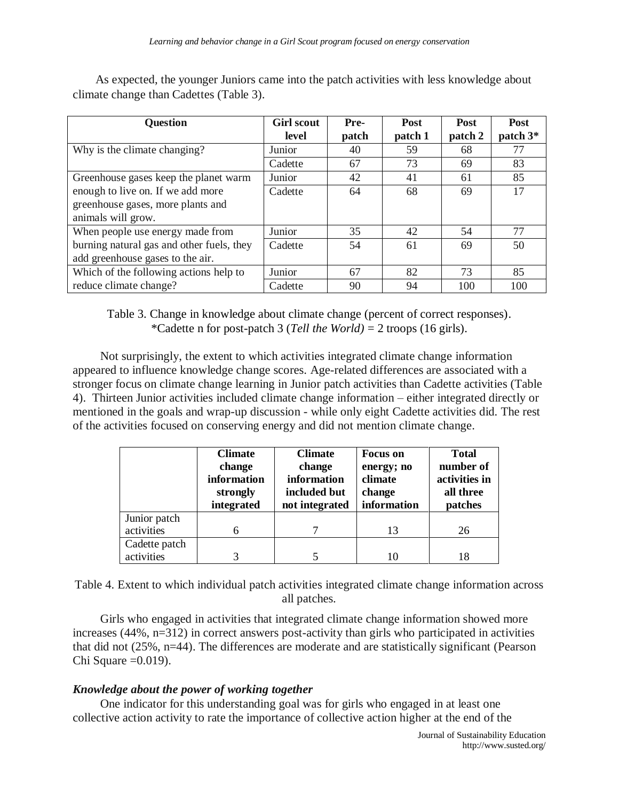| <b>Ouestion</b>                           | <b>Girl scout</b> | Pre-  | <b>Post</b> | <b>Post</b> | <b>Post</b> |
|-------------------------------------------|-------------------|-------|-------------|-------------|-------------|
|                                           | level             | patch | patch 1     | patch 2     | patch $3*$  |
| Why is the climate changing?              | Junior            | 40    | 59          | 68          | 77          |
|                                           | Cadette           | 67    | 73          | 69          | 83          |
| Greenhouse gases keep the planet warm     | Junior            | 42    | 41          | 61          | 85          |
| enough to live on. If we add more         | Cadette           | 64    | 68          | 69          | 17          |
| greenhouse gases, more plants and         |                   |       |             |             |             |
| animals will grow.                        |                   |       |             |             |             |
| When people use energy made from          | Junior            | 35    | 42          | 54          | 77          |
| burning natural gas and other fuels, they | Cadette           | 54    | 61          | 69          | 50          |
| add greenhouse gases to the air.          |                   |       |             |             |             |
| Which of the following actions help to    | Junior            | 67    | 82          | 73          | 85          |
| reduce climate change?                    | Cadette           | 90    | 94          | 100         | 100         |

As expected, the younger Juniors came into the patch activities with less knowledge about climate change than Cadettes (Table 3).

Table 3. Change in knowledge about climate change (percent of correct responses). \*Cadette n for post-patch 3 (*Tell the World)* = 2 troops (16 girls).

Not surprisingly, the extent to which activities integrated climate change information appeared to influence knowledge change scores. Age-related differences are associated with a stronger focus on climate change learning in Junior patch activities than Cadette activities (Table 4). Thirteen Junior activities included climate change information – either integrated directly or mentioned in the goals and wrap-up discussion - while only eight Cadette activities did. The rest of the activities focused on conserving energy and did not mention climate change.

|                             | <b>Climate</b><br>change<br>information<br>strongly<br>integrated | <b>Climate</b><br>change<br>information<br>included but<br>not integrated | <b>Focus</b> on<br>energy; no<br>climate<br>change<br>information | <b>Total</b><br>number of<br>activities in<br>all three<br>patches |
|-----------------------------|-------------------------------------------------------------------|---------------------------------------------------------------------------|-------------------------------------------------------------------|--------------------------------------------------------------------|
| Junior patch<br>activities  | 6                                                                 |                                                                           | 13                                                                | 26                                                                 |
| Cadette patch<br>activities |                                                                   |                                                                           | 10                                                                | 18                                                                 |

Table 4. Extent to which individual patch activities integrated climate change information across all patches.

Girls who engaged in activities that integrated climate change information showed more increases (44%, n=312) in correct answers post-activity than girls who participated in activities that did not (25%, n=44). The differences are moderate and are statistically significant (Pearson Chi Square  $=0.019$ ).

## *Knowledge about the power of working together*

One indicator for this understanding goal was for girls who engaged in at least one collective action activity to rate the importance of collective action higher at the end of the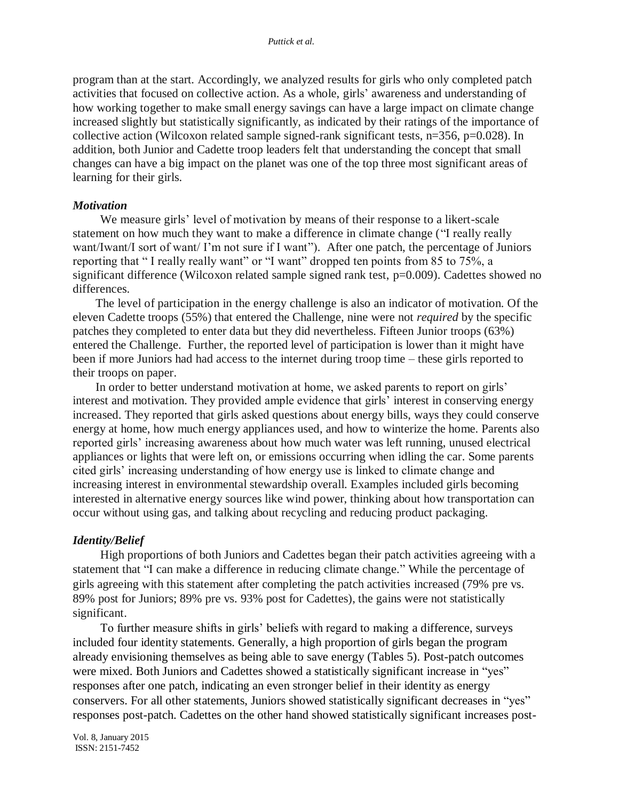program than at the start. Accordingly, we analyzed results for girls who only completed patch activities that focused on collective action. As a whole, girls' awareness and understanding of how working together to make small energy savings can have a large impact on climate change increased slightly but statistically significantly, as indicated by their ratings of the importance of collective action (Wilcoxon related sample signed-rank significant tests, n=356, p=0.028). In addition, both Junior and Cadette troop leaders felt that understanding the concept that small changes can have a big impact on the planet was one of the top three most significant areas of learning for their girls.

#### *Motivation*

We measure girls' level of motivation by means of their response to a likert-scale statement on how much they want to make a difference in climate change ("I really really want/Iwant/I sort of want/ I'm not sure if I want"). After one patch, the percentage of Juniors reporting that " I really really want" or "I want" dropped ten points from 85 to 75%, a significant difference (Wilcoxon related sample signed rank test, p=0.009). Cadettes showed no differences.

The level of participation in the energy challenge is also an indicator of motivation. Of the eleven Cadette troops (55%) that entered the Challenge, nine were not *required* by the specific patches they completed to enter data but they did nevertheless. Fifteen Junior troops (63%) entered the Challenge. Further, the reported level of participation is lower than it might have been if more Juniors had had access to the internet during troop time – these girls reported to their troops on paper.

In order to better understand motivation at home, we asked parents to report on girls' interest and motivation. They provided ample evidence that girls' interest in conserving energy increased. They reported that girls asked questions about energy bills, ways they could conserve energy at home, how much energy appliances used, and how to winterize the home. Parents also reported girls' increasing awareness about how much water was left running, unused electrical appliances or lights that were left on, or emissions occurring when idling the car. Some parents cited girls' increasing understanding of how energy use is linked to climate change and increasing interest in environmental stewardship overall. Examples included girls becoming interested in alternative energy sources like wind power, thinking about how transportation can occur without using gas, and talking about recycling and reducing product packaging.

### *Identity/Belief*

High proportions of both Juniors and Cadettes began their patch activities agreeing with a statement that "I can make a difference in reducing climate change." While the percentage of girls agreeing with this statement after completing the patch activities increased (79% pre vs. 89% post for Juniors; 89% pre vs. 93% post for Cadettes), the gains were not statistically significant.

To further measure shifts in girls' beliefs with regard to making a difference, surveys included four identity statements. Generally, a high proportion of girls began the program already envisioning themselves as being able to save energy (Tables 5). Post-patch outcomes were mixed. Both Juniors and Cadettes showed a statistically significant increase in "yes" responses after one patch, indicating an even stronger belief in their identity as energy conservers. For all other statements, Juniors showed statistically significant decreases in "yes" responses post-patch. Cadettes on the other hand showed statistically significant increases post-

Vol. 8, January 2015 ISSN: 2151-7452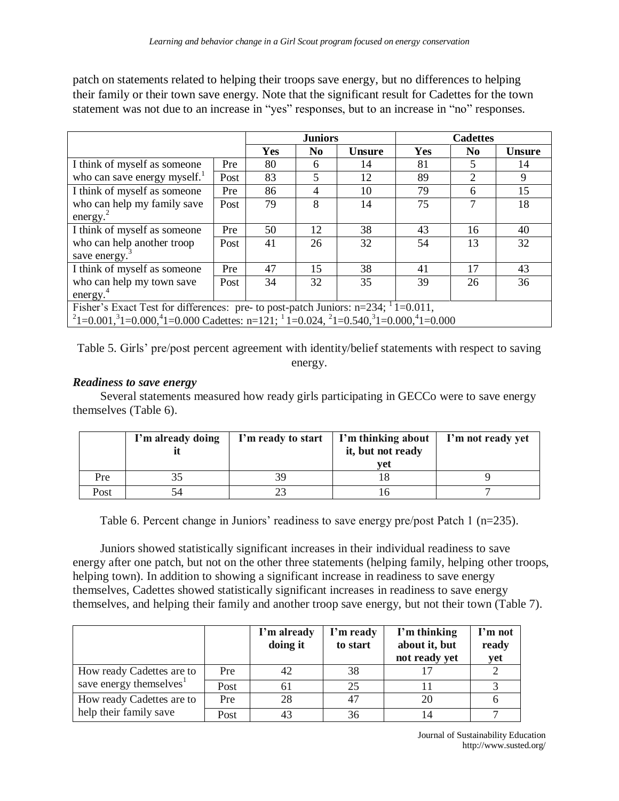patch on statements related to helping their troops save energy, but no differences to helping their family or their town save energy. Note that the significant result for Cadettes for the town statement was not due to an increase in "yes" responses, but to an increase in "no" responses.

|                                                                                                                              |      | <b>Juniors</b> |                |               |     | <b>Cadettes</b> |               |  |
|------------------------------------------------------------------------------------------------------------------------------|------|----------------|----------------|---------------|-----|-----------------|---------------|--|
|                                                                                                                              |      | <b>Yes</b>     | N <sub>0</sub> | <b>Unsure</b> | Yes | N <sub>0</sub>  | <b>Unsure</b> |  |
| I think of myself as someone                                                                                                 | Pre  | 80             | 6              | 14            | 81  | 5               | 14            |  |
| who can save energy myself. <sup>1</sup>                                                                                     | Post | 83             | 5              | 12            | 89  | 2               | 9             |  |
| I think of myself as someone                                                                                                 | Pre  | 86             | 4              | 10            | 79  | 6               | 15            |  |
| who can help my family save                                                                                                  | Post | 79             | 8              | 14            | 75  | 7               | 18            |  |
| energy.                                                                                                                      |      |                |                |               |     |                 |               |  |
| I think of myself as someone                                                                                                 | Pre  | 50             | 12             | 38            | 43  | 16              | 40            |  |
| who can help another troop                                                                                                   | Post | 41             | 26             | 32            | 54  | 13              | 32            |  |
| save energy.                                                                                                                 |      |                |                |               |     |                 |               |  |
| I think of myself as someone                                                                                                 | Pre  | 47             | 15             | 38            | 41  | 17              | 43            |  |
| who can help my town save                                                                                                    | Post | 34             | 32             | 35            | 39  | 26              | 36            |  |
| energy. <sup>4</sup>                                                                                                         |      |                |                |               |     |                 |               |  |
| Fisher's Exact Test for differences: pre- to post-patch Juniors: $n=234$ ; $1=0.011$ ,                                       |      |                |                |               |     |                 |               |  |
| $^{2}1=0.001$ , $^{3}1=0.000$ , $^{4}1=0.000$ Cadettes: n=121; $^{1}1=0.024$ , $^{2}1=0.540$ , $^{3}1=0.000$ , $^{4}1=0.000$ |      |                |                |               |     |                 |               |  |

Table 5. Girls' pre/post percent agreement with identity/belief statements with respect to saving energy.

### *Readiness to save energy*

Several statements measured how ready girls participating in GECCo were to save energy themselves (Table 6).

|      | I'm already doing | $\Gamma$ m ready to start   $\Gamma$ m thinking about<br>it, but not ready<br>vet | I'm not ready yet |
|------|-------------------|-----------------------------------------------------------------------------------|-------------------|
| Pre  |                   |                                                                                   |                   |
| Post |                   |                                                                                   |                   |

Table 6. Percent change in Juniors' readiness to save energy pre/post Patch 1 (n=235).

Juniors showed statistically significant increases in their individual readiness to save energy after one patch, but not on the other three statements (helping family, helping other troops, helping town). In addition to showing a significant increase in readiness to save energy themselves, Cadettes showed statistically significant increases in readiness to save energy themselves, and helping their family and another troop save energy, but not their town (Table 7).

|                                     |      | I'm already<br>doing it | I'm ready<br>to start | I'm thinking<br>about it, but<br>not ready yet | I'm not<br>ready<br>yet |
|-------------------------------------|------|-------------------------|-----------------------|------------------------------------------------|-------------------------|
| How ready Cadettes are to           | Pre  | 42                      | 38                    |                                                |                         |
| save energy themselves <sup>1</sup> | Post |                         | 25                    |                                                |                         |
| How ready Cadettes are to           | Pre  | 28                      | 47                    | 20                                             |                         |
| help their family save              | Post |                         | 36                    |                                                |                         |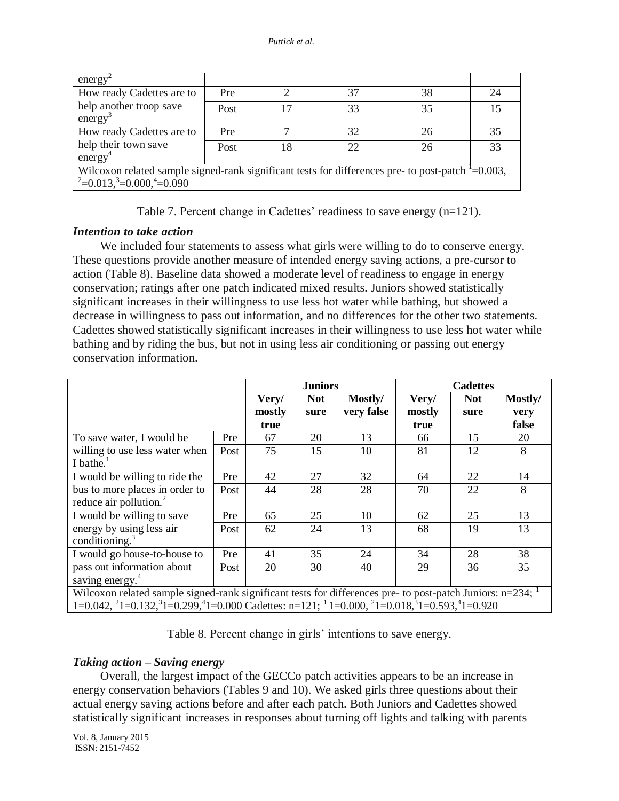| energy                                                                                                                                                            |      |    |    |    |    |  |
|-------------------------------------------------------------------------------------------------------------------------------------------------------------------|------|----|----|----|----|--|
| How ready Cadettes are to                                                                                                                                         | Pre  |    | 37 | 38 | 24 |  |
| help another troop save<br>energy <sup>3</sup>                                                                                                                    | Post | ┑  | 33 | 35 |    |  |
| How ready Cadettes are to                                                                                                                                         | Pre  |    | 32 | 26 | 35 |  |
| help their town save<br>energy <sup>4</sup>                                                                                                                       | Post | 18 | 22 | 26 | 33 |  |
| Wilcoxon related sample signed-rank significant tests for differences pre- to post-patch $\pm 0.003$ ,<br>$^{2}$ =0.013, <sup>3</sup> =0.000, <sup>4</sup> =0.090 |      |    |    |    |    |  |

|  | Table 7. Percent change in Cadettes' readiness to save energy $(n=121)$ . |
|--|---------------------------------------------------------------------------|
|--|---------------------------------------------------------------------------|

### *Intention to take action*

We included four statements to assess what girls were willing to do to conserve energy. These questions provide another measure of intended energy saving actions, a pre-cursor to action (Table 8). Baseline data showed a moderate level of readiness to engage in energy conservation; ratings after one patch indicated mixed results. Juniors showed statistically significant increases in their willingness to use less hot water while bathing, but showed a decrease in willingness to pass out information, and no differences for the other two statements. Cadettes showed statistically significant increases in their willingness to use less hot water while bathing and by riding the bus, but not in using less air conditioning or passing out energy conservation information.

|                                                                                                                                         |      | <b>Juniors</b> |            |            | <b>Cadettes</b> |            |         |
|-----------------------------------------------------------------------------------------------------------------------------------------|------|----------------|------------|------------|-----------------|------------|---------|
|                                                                                                                                         |      | Very/          | <b>Not</b> | Mostly/    | Very/           | <b>Not</b> | Mostly/ |
|                                                                                                                                         |      | mostly         | sure       | very false | mostly          | sure       | very    |
|                                                                                                                                         |      | true           |            |            | true            |            | false   |
| To save water, I would be                                                                                                               | Pre  | 67             | 20         | 13         | 66              | 15         | 20      |
| willing to use less water when                                                                                                          | Post | 75             | 15         | 10         | 81              | 12         | 8       |
| I bathe. $1$                                                                                                                            |      |                |            |            |                 |            |         |
| I would be willing to ride the                                                                                                          | Pre  | 42             | 27         | 32         | 64              | 22         | 14      |
| bus to more places in order to                                                                                                          | Post | 44             | 28         | 28         | 70              | 22         | 8       |
| reduce air pollution. <sup>2</sup>                                                                                                      |      |                |            |            |                 |            |         |
| I would be willing to save                                                                                                              | Pre  | 65             | 25         | 10         | 62              | 25         | 13      |
| energy by using less air                                                                                                                | Post | 62             | 24         | 13         | 68              | 19         | 13      |
| conditioning. $3$                                                                                                                       |      |                |            |            |                 |            |         |
| I would go house-to-house to                                                                                                            | Pre  | 41             | 35         | 24         | 34              | 28         | 38      |
| pass out information about                                                                                                              | Post | 20             | 30         | 40         | 29              | 36         | 35      |
| saving energy. <sup>4</sup>                                                                                                             |      |                |            |            |                 |            |         |
| Wilcoxon related sample signed-rank significant tests for differences pre- to post-patch Juniors: n=234;                                |      |                |            |            |                 |            |         |
| 1=0.042, $^{2}$ 1=0.132, $^{3}$ 1=0.299, $^{4}$ 1=0.000 Cadettes: n=121; $^{1}$ 1=0.000, $^{2}$ 1=0.018, $^{3}$ 1=0.593, $^{4}$ 1=0.920 |      |                |            |            |                 |            |         |

Table 8. Percent change in girls' intentions to save energy.

### *Taking action – Saving energy*

Overall, the largest impact of the GECCo patch activities appears to be an increase in energy conservation behaviors (Tables 9 and 10). We asked girls three questions about their actual energy saving actions before and after each patch. Both Juniors and Cadettes showed statistically significant increases in responses about turning off lights and talking with parents

Vol. 8, January 2015 ISSN: 2151-7452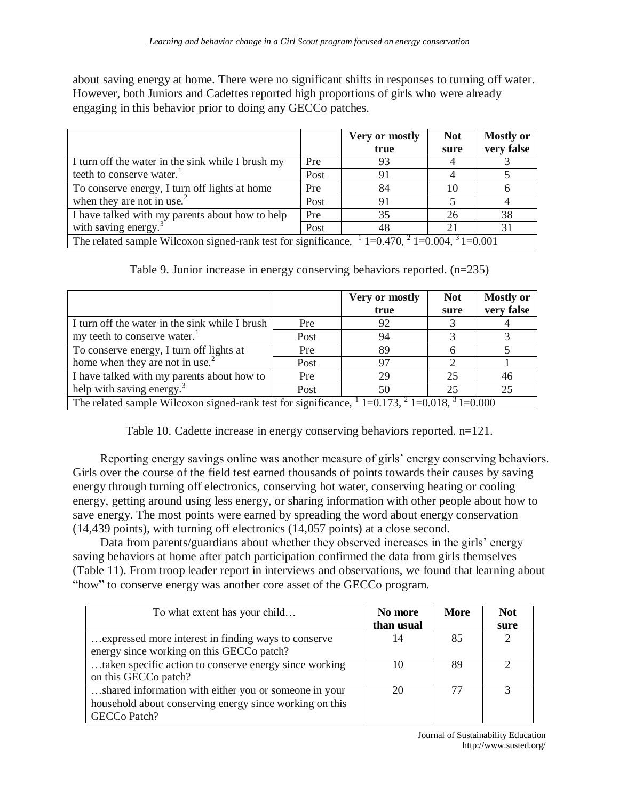about saving energy at home. There were no significant shifts in responses to turning off water. However, both Juniors and Cadettes reported high proportions of girls who were already engaging in this behavior prior to doing any GECCo patches.

|                                                                |      | Very or mostly<br>true                          | <b>Not</b><br>sure | <b>Mostly or</b><br>very false |
|----------------------------------------------------------------|------|-------------------------------------------------|--------------------|--------------------------------|
| I turn off the water in the sink while I brush my              | Pre  | 93                                              |                    |                                |
| teeth to conserve water. <sup>1</sup>                          | Post | 91                                              |                    |                                |
| To conserve energy, I turn off lights at home                  | Pre  | 84                                              | 10                 |                                |
| when they are not in use. $^{2}$                               | Post | 91                                              |                    |                                |
| I have talked with my parents about how to help                | Pre  | 35                                              | 26                 | 38                             |
| with saving energy. $3$                                        | Post | 48                                              | 21                 | 31                             |
| The related sample Wilcoxon signed-rank test for significance, |      | $1=0.470$ , $^{2}$ $1=0.004$ , $^{3}$ $1=0.001$ |                    |                                |

Table 9. Junior increase in energy conserving behaviors reported. (n=235)

|                                                                                                                                    |      | Very or mostly<br>true | <b>Not</b><br>sure | <b>Mostly or</b><br>very false |
|------------------------------------------------------------------------------------------------------------------------------------|------|------------------------|--------------------|--------------------------------|
| I turn off the water in the sink while I brush                                                                                     | Pre  | 92                     |                    |                                |
| my teeth to conserve water. <sup>1</sup>                                                                                           | Post | 94                     |                    |                                |
| To conserve energy, I turn off lights at                                                                                           | Pre  | 89                     |                    |                                |
| home when they are not in use. <sup>2</sup>                                                                                        | Post | 97                     |                    |                                |
| I have talked with my parents about how to                                                                                         | Pre  | 29                     | 25                 | 46                             |
| help with saving energy.                                                                                                           | Post | 50                     | 25                 | 25                             |
| The related sample Wilcoxon signed-rank test for significance, $\frac{1}{2}$ 1=0.173, $\frac{2}{2}$ 1=0.018, $\frac{3}{2}$ 1=0.000 |      |                        |                    |                                |

Table 10. Cadette increase in energy conserving behaviors reported. n=121.

Reporting energy savings online was another measure of girls' energy conserving behaviors. Girls over the course of the field test earned thousands of points towards their causes by saving energy through turning off electronics, conserving hot water, conserving heating or cooling energy, getting around using less energy, or sharing information with other people about how to save energy. The most points were earned by spreading the word about energy conservation (14,439 points), with turning off electronics (14,057 points) at a close second.

Data from parents/guardians about whether they observed increases in the girls' energy saving behaviors at home after patch participation confirmed the data from girls themselves (Table 11). From troop leader report in interviews and observations, we found that learning about "how" to conserve energy was another core asset of the GECCo program.

| To what extent has your child                           | No more    | More | <b>Not</b> |
|---------------------------------------------------------|------------|------|------------|
|                                                         | than usual |      | sure       |
| expressed more interest in finding ways to conserve     | 14         | 85   |            |
| energy since working on this GECCo patch?               |            |      |            |
| taken specific action to conserve energy since working  | 10         | 89   |            |
| on this GECCo patch?                                    |            |      |            |
| shared information with either you or someone in your   | 20         | 77   | 3          |
| household about conserving energy since working on this |            |      |            |
| GECCo Patch?                                            |            |      |            |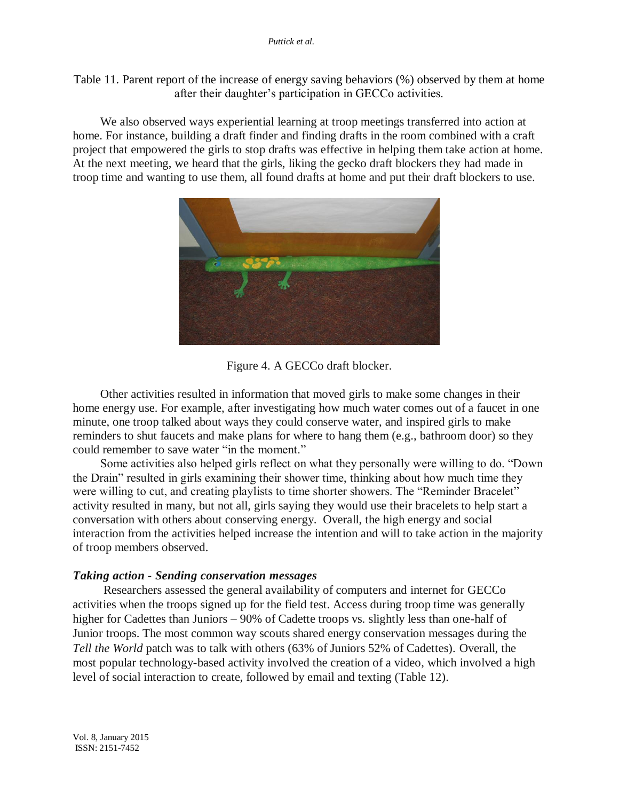Table 11. Parent report of the increase of energy saving behaviors (%) observed by them at home after their daughter's participation in GECCo activities.

We also observed ways experiential learning at troop meetings transferred into action at home. For instance, building a draft finder and finding drafts in the room combined with a craft project that empowered the girls to stop drafts was effective in helping them take action at home. At the next meeting, we heard that the girls, liking the gecko draft blockers they had made in troop time and wanting to use them, all found drafts at home and put their draft blockers to use.



Figure 4. A GECCo draft blocker.

Other activities resulted in information that moved girls to make some changes in their home energy use. For example, after investigating how much water comes out of a faucet in one minute, one troop talked about ways they could conserve water, and inspired girls to make reminders to shut faucets and make plans for where to hang them (e.g., bathroom door) so they could remember to save water "in the moment."

Some activities also helped girls reflect on what they personally were willing to do. "Down the Drain" resulted in girls examining their shower time, thinking about how much time they were willing to cut, and creating playlists to time shorter showers. The "Reminder Bracelet" activity resulted in many, but not all, girls saying they would use their bracelets to help start a conversation with others about conserving energy. Overall, the high energy and social interaction from the activities helped increase the intention and will to take action in the majority of troop members observed.

### *Taking action - Sending conservation messages*

Researchers assessed the general availability of computers and internet for GECCo activities when the troops signed up for the field test. Access during troop time was generally higher for Cadettes than Juniors – 90% of Cadette troops vs. slightly less than one-half of Junior troops. The most common way scouts shared energy conservation messages during the *Tell the World* patch was to talk with others (63% of Juniors 52% of Cadettes). Overall, the most popular technology-based activity involved the creation of a video, which involved a high level of social interaction to create, followed by email and texting (Table 12).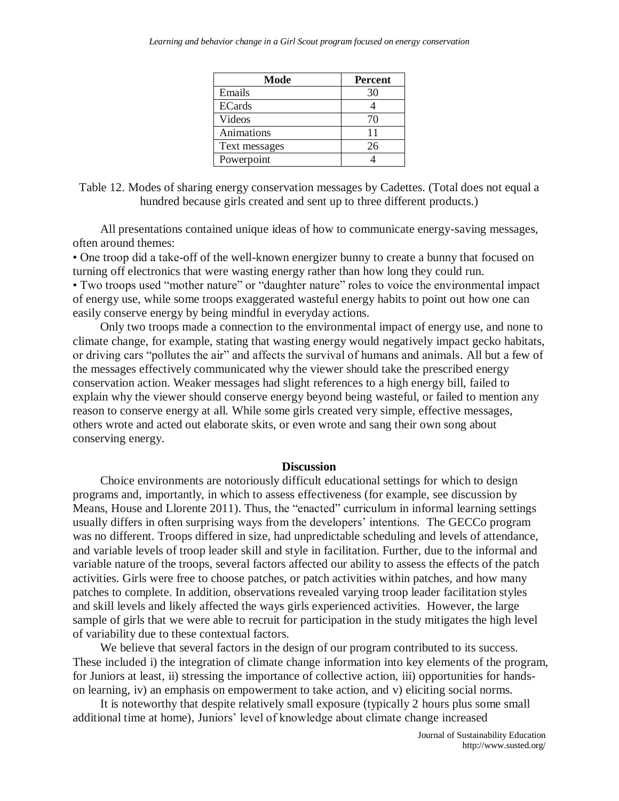| Mode          | <b>Percent</b> |
|---------------|----------------|
| Emails        | 30             |
| ECards        |                |
| Videos        | 70             |
| Animations    | 11             |
| Text messages | 26             |
| Powerpoint    |                |

Table 12. Modes of sharing energy conservation messages by Cadettes. (Total does not equal a hundred because girls created and sent up to three different products.)

All presentations contained unique ideas of how to communicate energy-saving messages, often around themes:

• One troop did a take-off of the well-known energizer bunny to create a bunny that focused on turning off electronics that were wasting energy rather than how long they could run.

• Two troops used "mother nature" or "daughter nature" roles to voice the environmental impact of energy use, while some troops exaggerated wasteful energy habits to point out how one can easily conserve energy by being mindful in everyday actions.

Only two troops made a connection to the environmental impact of energy use, and none to climate change, for example, stating that wasting energy would negatively impact gecko habitats, or driving cars "pollutes the air" and affects the survival of humans and animals. All but a few of the messages effectively communicated why the viewer should take the prescribed energy conservation action. Weaker messages had slight references to a high energy bill, failed to explain why the viewer should conserve energy beyond being wasteful, or failed to mention any reason to conserve energy at all. While some girls created very simple, effective messages, others wrote and acted out elaborate skits, or even wrote and sang their own song about conserving energy.

#### **Discussion**

Choice environments are notoriously difficult educational settings for which to design programs and, importantly, in which to assess effectiveness (for example, see discussion by Means, House and Llorente 2011). Thus, the "enacted" curriculum in informal learning settings usually differs in often surprising ways from the developers' intentions. The GECCo program was no different. Troops differed in size, had unpredictable scheduling and levels of attendance, and variable levels of troop leader skill and style in facilitation. Further, due to the informal and variable nature of the troops, several factors affected our ability to assess the effects of the patch activities. Girls were free to choose patches, or patch activities within patches, and how many patches to complete. In addition, observations revealed varying troop leader facilitation styles and skill levels and likely affected the ways girls experienced activities. However, the large sample of girls that we were able to recruit for participation in the study mitigates the high level of variability due to these contextual factors.

We believe that several factors in the design of our program contributed to its success. These included i) the integration of climate change information into key elements of the program, for Juniors at least, ii) stressing the importance of collective action, iii) opportunities for handson learning, iv) an emphasis on empowerment to take action, and v) eliciting social norms.

It is noteworthy that despite relatively small exposure (typically 2 hours plus some small additional time at home), Juniors' level of knowledge about climate change increased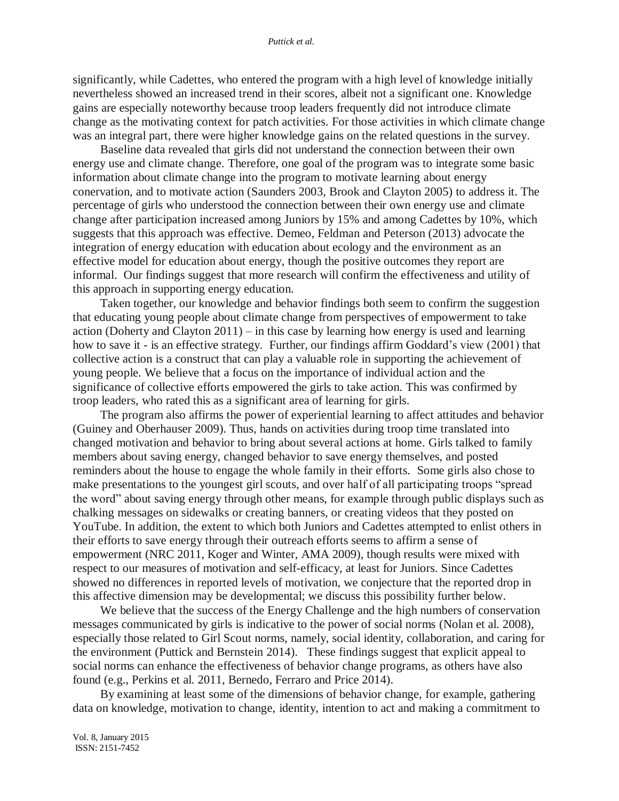#### *Puttick et al.*

significantly, while Cadettes, who entered the program with a high level of knowledge initially nevertheless showed an increased trend in their scores, albeit not a significant one. Knowledge gains are especially noteworthy because troop leaders frequently did not introduce climate change as the motivating context for patch activities. For those activities in which climate change was an integral part, there were higher knowledge gains on the related questions in the survey.

Baseline data revealed that girls did not understand the connection between their own energy use and climate change. Therefore, one goal of the program was to integrate some basic information about climate change into the program to motivate learning about energy conervation, and to motivate action (Saunders 2003, Brook and Clayton 2005) to address it. The percentage of girls who understood the connection between their own energy use and climate change after participation increased among Juniors by 15% and among Cadettes by 10%, which suggests that this approach was effective. Demeo, Feldman and Peterson (2013) advocate the integration of energy education with education about ecology and the environment as an effective model for education about energy, though the positive outcomes they report are informal. Our findings suggest that more research will confirm the effectiveness and utility of this approach in supporting energy education.

Taken together, our knowledge and behavior findings both seem to confirm the suggestion that educating young people about climate change from perspectives of empowerment to take action (Doherty and Clayton 2011) – in this case by learning how energy is used and learning how to save it - is an effective strategy. Further, our findings affirm Goddard's view (2001) that collective action is a construct that can play a valuable role in supporting the achievement of young people. We believe that a focus on the importance of individual action and the significance of collective efforts empowered the girls to take action. This was confirmed by troop leaders, who rated this as a significant area of learning for girls.

The program also affirms the power of experiential learning to affect attitudes and behavior (Guiney and Oberhauser 2009). Thus, hands on activities during troop time translated into changed motivation and behavior to bring about several actions at home. Girls talked to family members about saving energy, changed behavior to save energy themselves, and posted reminders about the house to engage the whole family in their efforts. Some girls also chose to make presentations to the youngest girl scouts, and over half of all participating troops "spread the word" about saving energy through other means, for example through public displays such as chalking messages on sidewalks or creating banners, or creating videos that they posted on YouTube. In addition, the extent to which both Juniors and Cadettes attempted to enlist others in their efforts to save energy through their outreach efforts seems to affirm a sense of empowerment (NRC 2011, Koger and Winter, AMA 2009), though results were mixed with respect to our measures of motivation and self-efficacy, at least for Juniors. Since Cadettes showed no differences in reported levels of motivation, we conjecture that the reported drop in this affective dimension may be developmental; we discuss this possibility further below.

We believe that the success of the Energy Challenge and the high numbers of conservation messages communicated by girls is indicative to the power of social norms (Nolan et al. 2008), especially those related to Girl Scout norms, namely, social identity, collaboration, and caring for the environment (Puttick and Bernstein 2014). These findings suggest that explicit appeal to social norms can enhance the effectiveness of behavior change programs, as others have also found (e.g., Perkins et al. 2011, Bernedo, Ferraro and Price 2014).

By examining at least some of the dimensions of behavior change, for example, gathering data on knowledge, motivation to change, identity, intention to act and making a commitment to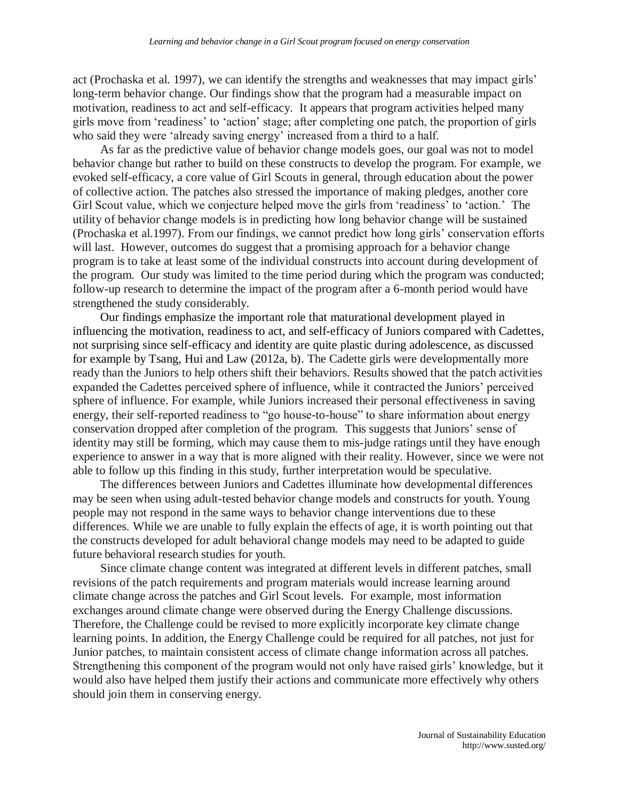act (Prochaska et al. 1997), we can identify the strengths and weaknesses that may impact girls' long-term behavior change. Our findings show that the program had a measurable impact on motivation, readiness to act and self-efficacy. It appears that program activities helped many girls move from 'readiness' to 'action' stage; after completing one patch, the proportion of girls who said they were 'already saving energy' increased from a third to a half.

As far as the predictive value of behavior change models goes, our goal was not to model behavior change but rather to build on these constructs to develop the program. For example, we evoked self-efficacy, a core value of Girl Scouts in general, through education about the power of collective action. The patches also stressed the importance of making pledges, another core Girl Scout value, which we conjecture helped move the girls from 'readiness' to 'action.' The utility of behavior change models is in predicting how long behavior change will be sustained (Prochaska et al.1997). From our findings, we cannot predict how long girls' conservation efforts will last. However, outcomes do suggest that a promising approach for a behavior change program is to take at least some of the individual constructs into account during development of the program. Our study was limited to the time period during which the program was conducted; follow-up research to determine the impact of the program after a 6-month period would have strengthened the study considerably.

Our findings emphasize the important role that maturational development played in influencing the motivation, readiness to act, and self-efficacy of Juniors compared with Cadettes, not surprising since self-efficacy and identity are quite plastic during adolescence, as discussed for example by Tsang, Hui and Law (2012a, b). The Cadette girls were developmentally more ready than the Juniors to help others shift their behaviors. Results showed that the patch activities expanded the Cadettes perceived sphere of influence, while it contracted the Juniors' perceived sphere of influence. For example, while Juniors increased their personal effectiveness in saving energy, their self-reported readiness to "go house-to-house" to share information about energy conservation dropped after completion of the program. This suggests that Juniors' sense of identity may still be forming, which may cause them to mis-judge ratings until they have enough experience to answer in a way that is more aligned with their reality. However, since we were not able to follow up this finding in this study, further interpretation would be speculative.

The differences between Juniors and Cadettes illuminate how developmental differences may be seen when using adult-tested behavior change models and constructs for youth. Young people may not respond in the same ways to behavior change interventions due to these differences. While we are unable to fully explain the effects of age, it is worth pointing out that the constructs developed for adult behavioral change models may need to be adapted to guide future behavioral research studies for youth.

Since climate change content was integrated at different levels in different patches, small revisions of the patch requirements and program materials would increase learning around climate change across the patches and Girl Scout levels. For example, most information exchanges around climate change were observed during the Energy Challenge discussions. Therefore, the Challenge could be revised to more explicitly incorporate key climate change learning points. In addition, the Energy Challenge could be required for all patches, not just for Junior patches, to maintain consistent access of climate change information across all patches. Strengthening this component of the program would not only have raised girls' knowledge, but it would also have helped them justify their actions and communicate more effectively why others should join them in conserving energy.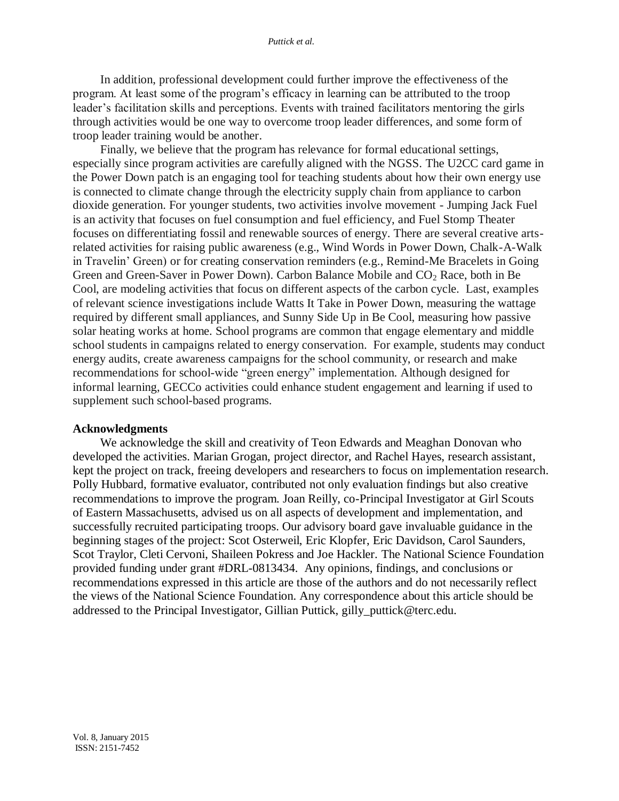In addition, professional development could further improve the effectiveness of the program. At least some of the program's efficacy in learning can be attributed to the troop leader's facilitation skills and perceptions. Events with trained facilitators mentoring the girls through activities would be one way to overcome troop leader differences, and some form of troop leader training would be another.

Finally, we believe that the program has relevance for formal educational settings, especially since program activities are carefully aligned with the NGSS. The U2CC card game in the Power Down patch is an engaging tool for teaching students about how their own energy use is connected to climate change through the electricity supply chain from appliance to carbon dioxide generation. For younger students, two activities involve movement - Jumping Jack Fuel is an activity that focuses on fuel consumption and fuel efficiency, and Fuel Stomp Theater focuses on differentiating fossil and renewable sources of energy. There are several creative artsrelated activities for raising public awareness (e.g., Wind Words in Power Down, Chalk-A-Walk in Travelin' Green) or for creating conservation reminders (e.g., Remind-Me Bracelets in Going Green and Green-Saver in Power Down). Carbon Balance Mobile and  $CO<sub>2</sub>$  Race, both in Be Cool, are modeling activities that focus on different aspects of the carbon cycle. Last, examples of relevant science investigations include Watts It Take in Power Down, measuring the wattage required by different small appliances, and Sunny Side Up in Be Cool, measuring how passive solar heating works at home. School programs are common that engage elementary and middle school students in campaigns related to energy conservation. For example, students may conduct energy audits, create awareness campaigns for the school community, or research and make recommendations for school-wide "green energy" implementation. Although designed for informal learning, GECCo activities could enhance student engagement and learning if used to supplement such school-based programs.

#### **Acknowledgments**

We acknowledge the skill and creativity of Teon Edwards and Meaghan Donovan who developed the activities. Marian Grogan, project director, and Rachel Hayes, research assistant, kept the project on track, freeing developers and researchers to focus on implementation research. Polly Hubbard, formative evaluator, contributed not only evaluation findings but also creative recommendations to improve the program. Joan Reilly, co-Principal Investigator at Girl Scouts of Eastern Massachusetts, advised us on all aspects of development and implementation, and successfully recruited participating troops. Our advisory board gave invaluable guidance in the beginning stages of the project: Scot Osterweil, Eric Klopfer, Eric Davidson, Carol Saunders, Scot Traylor, Cleti Cervoni, Shaileen Pokress and Joe Hackler. The National Science Foundation provided funding under grant #DRL-0813434. Any opinions, findings, and conclusions or recommendations expressed in this article are those of the authors and do not necessarily reflect the views of the National Science Foundation. Any correspondence about this article should be addressed to the Principal Investigator, Gillian Puttick, gilly\_puttick@terc.edu.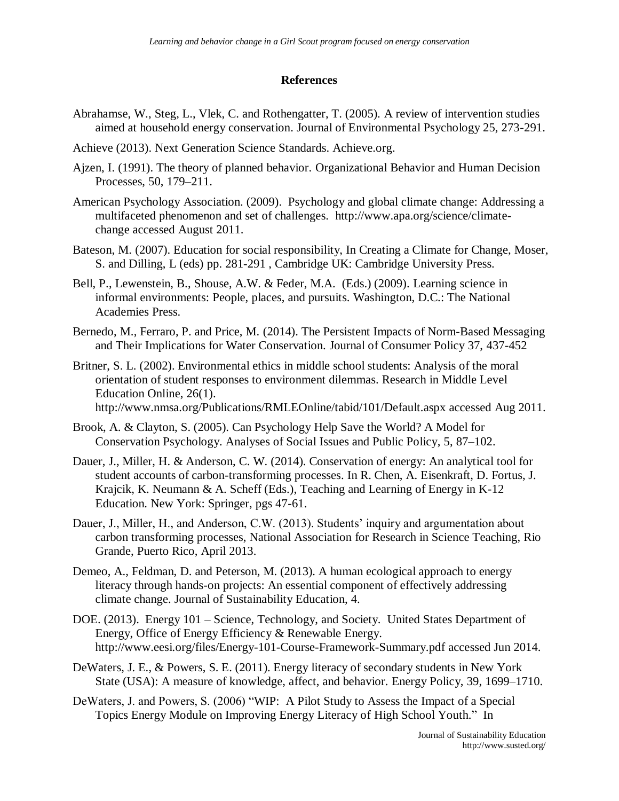#### **References**

- Abrahamse, W., Steg, L., Vlek, C. and Rothengatter, T. (2005). A review of intervention studies aimed at household energy conservation. Journal of Environmental Psychology 25, 273-291.
- Achieve (2013). Next Generation Science Standards. Achieve.org.
- Ajzen, I. (1991). The theory of planned behavior. Organizational Behavior and Human Decision Processes, 50, 179–211.
- American Psychology Association. (2009). Psychology and global climate change: Addressing a multifaceted phenomenon and set of challenges. [http://www.apa.org/science/climate](http://www.apa.org/science/climate-change)[change](http://www.apa.org/science/climate-change) accessed August 2011.
- Bateson, M. (2007). Education for social responsibility, In Creating a Climate for Change, Moser, S. and Dilling, L (eds) pp. 281-291 , Cambridge UK: Cambridge University Press.
- Bell, P., Lewenstein, B., Shouse, A.W. & Feder, M.A. (Eds.) (2009). Learning science in informal environments: People, places, and pursuits. Washington, D.C.: The National Academies Press.
- Bernedo, M., Ferraro, P. and Price, M. (2014). The Persistent Impacts of Norm-Based Messaging and Their Implications for Water Conservation. Journal of Consumer Policy 37, 437-452
- Britner, S. L. (2002). Environmental ethics in middle school students: Analysis of the moral orientation of student responses to environment dilemmas. Research in Middle Level Education Online, 26(1).

<http://www.nmsa.org/Publications/RMLEOnline/tabid/101/Default.aspx> accessed Aug 2011.

- Brook, A. & Clayton, S. (2005). Can Psychology Help Save the World? A Model for Conservation Psychology. Analyses of Social Issues and Public Policy, 5, 87–102.
- Dauer, J., Miller, H. & Anderson, C. W. (2014). Conservation of energy: An analytical tool for student accounts of carbon-transforming processes. In R. Chen, A. Eisenkraft, D. Fortus, J. Krajcik, K. Neumann & A. Scheff (Eds.), Teaching and Learning of Energy in K-12 Education. New York: Springer, pgs 47-61.
- Dauer, J., Miller, H., and Anderson, C.W. (2013). Students' inquiry and argumentation about carbon transforming processes, National Association for Research in Science Teaching, Rio Grande, Puerto Rico, April 2013.
- Demeo, A., Feldman, D. and Peterson, M. (2013). A human ecological approach to energy literacy through hands-on projects: An essential component of effectively addressing climate change. Journal of Sustainability Education, 4.
- DOE. (2013). Energy 101 Science, Technology, and Society. United States Department of Energy, Office of Energy Efficiency & Renewable Energy. <http://www.eesi.org/files/Energy-101-Course-Framework-Summary.pdf> accessed Jun 2014.
- DeWaters, J. E., & Powers, S. E. (2011). Energy literacy of secondary students in New York State (USA): A measure of knowledge, affect, and behavior. Energy Policy, 39, 1699–1710.
- DeWaters, J. and Powers, S. (2006) "WIP: [A Pilot Study to Assess the Impact of a Special](http://www.clarkson.edu/cses/research/pdf3.pdf)  [Topics Energy Module on Improving Energy Literacy of](http://www.clarkson.edu/cses/research/pdf3.pdf) High School Youth." In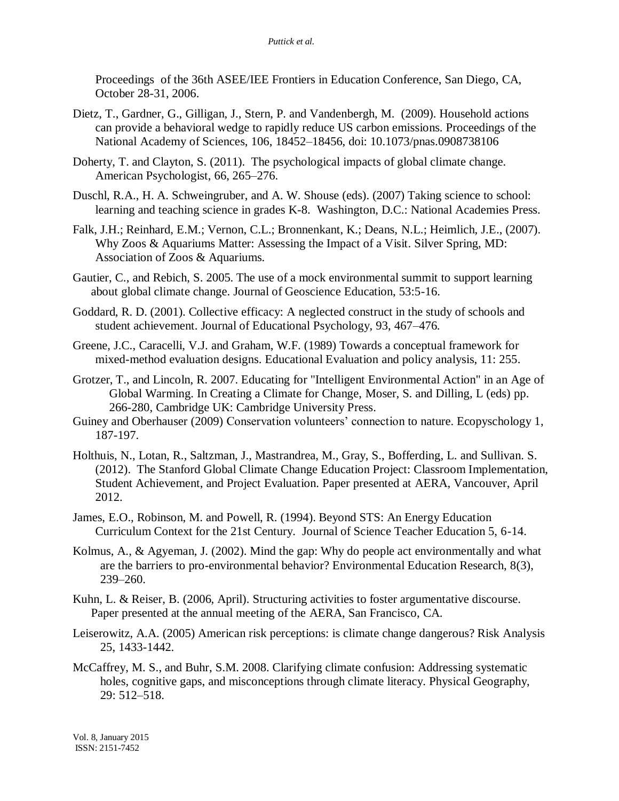Proceedings of the 36th ASEE/IEE Frontiers in Education Conference, San Diego, CA, October 28-31, 2006.

- Dietz, T., Gardner, G., Gilligan, J., Stern, P. and Vandenbergh, M. (2009). Household actions can provide a behavioral wedge to rapidly reduce US carbon emissions. Proceedings of the National Academy of Sciences, 106, 18452–18456, doi: 10.1073/pnas.0908738106
- Doherty, T. and Clayton, S. (2011). The psychological impacts of global climate change. American Psychologist, 66, 265–276.
- Duschl, R.A., H. A. Schweingruber, and A. W. Shouse (eds). (2007) Taking science to school: learning and teaching science in grades K-8. Washington, D.C.: National Academies Press.
- Falk, J.H.; Reinhard, E.M.; Vernon, C.L.; Bronnenkant, K.; Deans, N.L.; Heimlich, J.E., (2007). Why Zoos & Aquariums Matter: Assessing the Impact of a Visit. Silver Spring, MD: Association of Zoos & Aquariums.
- Gautier, C., and Rebich, S. 2005. The use of a mock environmental summit to support learning about global climate change. Journal of Geoscience Education, 53:5-16.
- Goddard, R. D. (2001). Collective efficacy: A neglected construct in the study of schools and student achievement. Journal of Educational Psychology, 93, 467–476.
- Greene, J.C., Caracelli, V.J. and Graham, W.F. (1989) Towards a conceptual framework for mixed-method evaluation designs. Educational Evaluation and policy analysis, 11: 255.
- Grotzer, T., and Lincoln, R. 2007. Educating for "Intelligent Environmental Action" in an Age of Global Warming. In Creating a Climate for Change, Moser, S. and Dilling, L (eds) pp. 266-280, Cambridge UK: Cambridge University Press.
- Guiney and Oberhauser (2009) Conservation volunteers' connection to nature. Ecopyschology 1, 187-197.
- Holthuis, N., Lotan, R., Saltzman, J., Mastrandrea, M., Gray, S., Bofferding, L. and Sullivan. S. (2012). The Stanford Global Climate Change Education Project: Classroom Implementation, Student Achievement, and Project Evaluation. Paper presented at AERA, Vancouver, April 2012.
- James, E.O., Robinson, M. and Powell, R. (1994). Beyond STS: An Energy Education Curriculum Context for the 21st Century. Journal of Science Teacher Education 5, 6-14.
- Kolmus, A., & Agyeman, J. (2002). Mind the gap: Why do people act environmentally and what are the barriers to pro-environmental behavior? Environmental Education Research, 8(3), 239–260.
- Kuhn, L. & Reiser, B. (2006, April). Structuring activities to foster argumentative discourse. Paper presented at the annual meeting of the AERA, San Francisco, CA.
- Leiserowitz, A.A. (2005) American risk perceptions: is climate change dangerous? Risk Analysis 25, 1433-1442.
- McCaffrey, M. S., and Buhr, S.M. 2008. Clarifying climate confusion: Addressing systematic holes, cognitive gaps, and misconceptions through climate literacy. Physical Geography, 29: 512–518.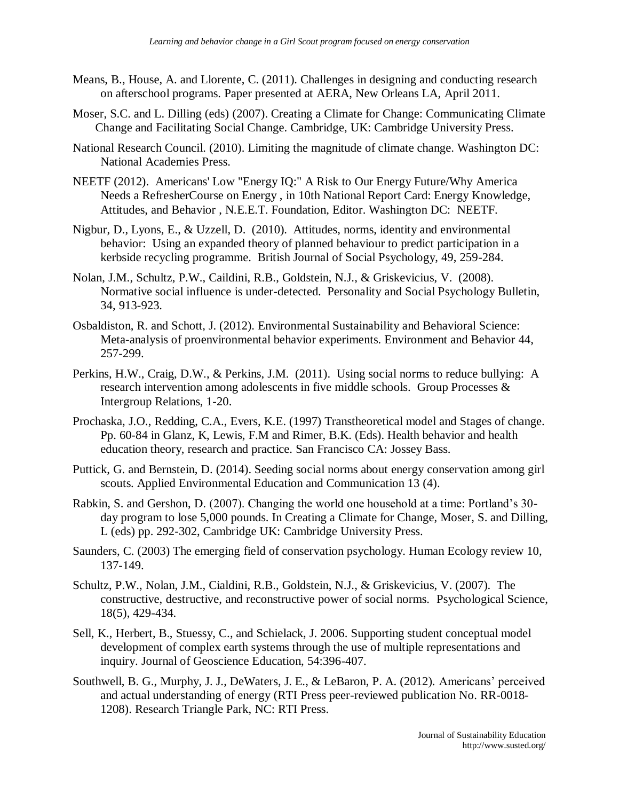- Means, B., House, A. and Llorente, C. (2011). Challenges in designing and conducting research on afterschool programs. Paper presented at AERA, New Orleans LA, April 2011.
- Moser, S.C. and L. Dilling (eds) (2007). Creating a Climate for Change: Communicating Climate Change and Facilitating Social Change. Cambridge, UK: Cambridge University Press.
- National Research Council. (2010). Limiting the magnitude of climate change. Washington DC: National Academies Press.
- NEETF (2012). Americans' Low "Energy IQ:" A Risk to Our Energy Future/Why America Needs a RefresherCourse on Energy , in 10th National Report Card: Energy Knowledge, Attitudes, and Behavior , N.E.E.T. Foundation, Editor. Washington DC: NEETF.
- Nigbur, D., Lyons, E., & Uzzell, D. (2010). Attitudes, norms, identity and environmental behavior: Using an expanded theory of planned behaviour to predict participation in a kerbside recycling programme. British Journal of Social Psychology, 49, 259-284.
- Nolan, J.M., Schultz, P.W., Caildini, R.B., Goldstein, N.J., & Griskevicius, V. (2008). Normative social influence is under-detected. Personality and Social Psychology Bulletin, 34, 913-923.
- Osbaldiston, R. and Schott, J. (2012). Environmental Sustainability and Behavioral Science: Meta-analysis of proenvironmental behavior experiments. Environment and Behavior 44, 257-299.
- Perkins, H.W., Craig, D.W., & Perkins, J.M. (2011). Using social norms to reduce bullying: A research intervention among adolescents in five middle schools. Group Processes & Intergroup Relations, 1-20.
- Prochaska, J.O., Redding, C.A., Evers, K.E. (1997) Transtheoretical model and Stages of change. Pp. 60-84 in Glanz, K, Lewis, F.M and Rimer, B.K. (Eds). Health behavior and health education theory, research and practice. San Francisco CA: Jossey Bass.
- Puttick, G. and Bernstein, D. (2014). Seeding social norms about energy conservation among girl scouts. Applied Environmental Education and Communication 13 (4).
- Rabkin, S. and Gershon, D. (2007). Changing the world one household at a time: Portland's 30 day program to lose 5,000 pounds. In Creating a Climate for Change, Moser, S. and Dilling, L (eds) pp. 292-302, Cambridge UK: Cambridge University Press.
- Saunders, C. (2003) The emerging field of conservation psychology. Human Ecology review 10, 137-149.
- Schultz, P.W., Nolan, J.M., Cialdini, R.B., Goldstein, N.J., & Griskevicius, V. (2007). The constructive, destructive, and reconstructive power of social norms. Psychological Science, 18(5), 429-434.
- Sell, K., Herbert, B., Stuessy, C., and Schielack, J. 2006. Supporting student conceptual model development of complex earth systems through the use of multiple representations and inquiry. Journal of Geoscience Education, 54:396-407.
- Southwell, B. G., Murphy, J. J., DeWaters, J. E., & LeBaron, P. A. (2012). Americans' perceived and actual understanding of energy (RTI Press peer-reviewed publication No. RR-0018- 1208). Research Triangle Park, NC: RTI Press.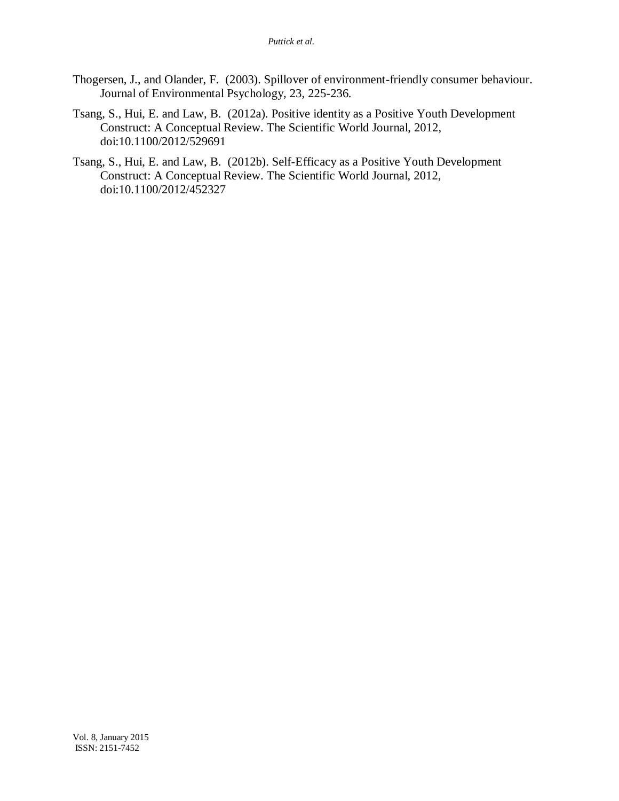- Thogersen, J., and Olander, F. (2003). Spillover of environment-friendly consumer behaviour. Journal of Environmental Psychology, 23, 225-236.
- Tsang, S., Hui, E. and Law, B. (2012a). Positive identity as a Positive Youth Development Construct: A Conceptual Review. The Scientific World Journal, 2012, doi:10.1100/2012/529691
- Tsang, S., Hui, E. and Law, B. (2012b). Self-Efficacy as a Positive Youth Development Construct: A Conceptual Review. The Scientific World Journal, 2012, doi:10.1100/2012/452327